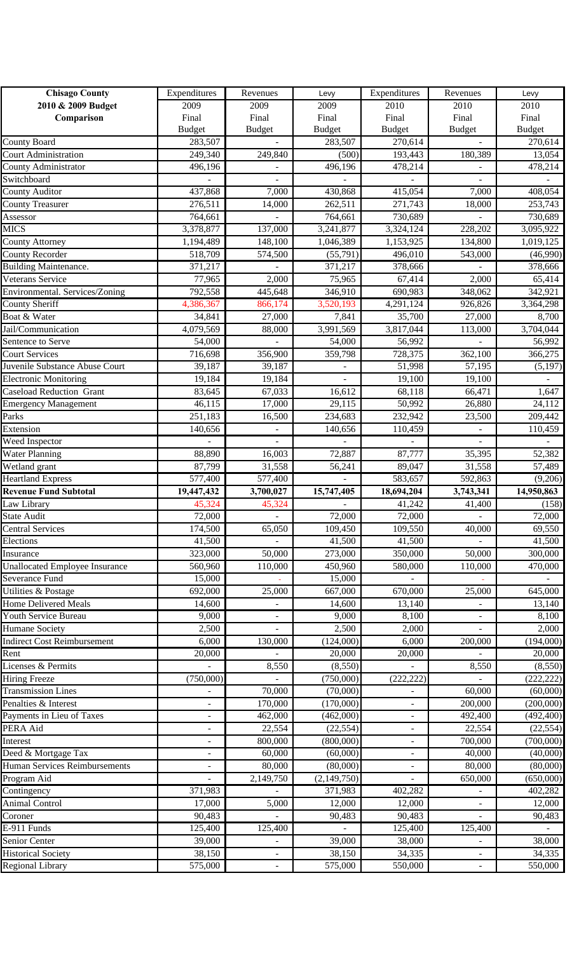| <b>Chisago County</b>                                           | Expenditures             | Revenues                 | Levy          | Expenditures             | Revenues                 | Levy                  |
|-----------------------------------------------------------------|--------------------------|--------------------------|---------------|--------------------------|--------------------------|-----------------------|
| 2010 & 2009 Budget                                              | 2009                     | 2009                     | 2009          | 2010                     | 2010                     | 2010                  |
| Comparison                                                      | Final                    | Final                    | Final         | Final                    | Final                    | Final                 |
|                                                                 | <b>Budget</b>            | <b>Budget</b>            | <b>Budget</b> | <b>Budget</b>            | <b>Budget</b>            | <b>Budget</b>         |
| County Board                                                    | 283,507                  |                          | 283,507       | 270,614                  |                          | 270,614               |
| <b>Court Administration</b>                                     | 249,340                  | 249,840                  | (500)         | 193,443                  | 180,389                  | 13,054                |
| County Administrator                                            | 496,196                  |                          | 496,196       | 478,214                  |                          | 478,214               |
| Switchboard                                                     |                          | $\overline{\phantom{m}}$ |               |                          | $\overline{\phantom{0}}$ |                       |
| <b>County Auditor</b>                                           | 437,868                  | 7,000                    | 430,868       | 415,054                  | 7,000                    | 408,054               |
| <b>County Treasurer</b>                                         | 276,511                  | 14,000                   | 262,511       | 271,743                  | 18,000                   | 253,743               |
| Assessor                                                        | 764,661                  |                          | 764,661       | 730,689                  |                          | 730,689               |
| <b>MICS</b>                                                     | 3,378,877                | 137,000                  | 3,241,877     | 3,324,124                | 228,202                  | 3,095,922             |
| <b>County Attorney</b>                                          | 1,194,489                | 148,100                  | 1,046,389     | 1,153,925                | 134,800                  | 1,019,125             |
| <b>County Recorder</b>                                          | 518,709                  | 574,500                  | (55, 791)     | 496,010                  | 543,000                  | (46,990)              |
| <b>Building Maintenance.</b>                                    | 371,217                  |                          | 371,217       | 378,666                  |                          | 378,666               |
| Veterans Service                                                | 77,965                   | 2,000                    | 75,965        | 67,414                   | 2,000                    | 65,414                |
| Environmental. Services/Zoning                                  | 792,558                  | 445,648                  | 346,910       | 690,983                  | 348,062                  | 342,921               |
| <b>County Sheriff</b>                                           | 4,386,367                | 866,174                  | 3,520,193     | 4,291,124                | 926,826                  | 3,364,298             |
| Boat & Water                                                    | 34,841                   | 27,000                   | 7,841         | 35,700                   | 27,000                   | 8,700                 |
| Jail/Communication                                              | 4,079,569                | 88,000                   | 3,991,569     | 3,817,044                | 113,000                  | 3,704,044             |
| Sentence to Serve                                               | 54,000                   |                          | 54,000        | 56,992                   |                          | 56,992                |
| <b>Court Services</b>                                           | 716,698                  | 356,900                  | 359,798       | 728,375                  | 362,100                  | 366,275               |
| Juvenile Substance Abuse Court                                  | 39,187                   | 39,187                   |               | 51,998                   | 57,195                   | (5, 197)              |
| <b>Electronic Monitoring</b><br><b>Caseload Reduction Grant</b> | 19,184                   | 19,184                   |               | 19,100                   | 19,100                   |                       |
|                                                                 | 83,645                   | 67,033                   | 16,612        | 68,118                   | 66,471                   | 1,647                 |
| <b>Emergency Management</b>                                     | 46,115                   | 17,000                   | 29,115        | 50,992                   | 26,880                   | 24,112                |
| Parks                                                           | 251,183                  | 16,500                   | 234,683       | 232,942                  | 23,500                   | 209,442               |
| Extension                                                       | 140,656                  | $\overline{\phantom{a}}$ | 140,656       | 110,459                  | $\blacksquare$           | 110,459               |
| Weed Inspector<br><b>Water Planning</b>                         |                          | $\overline{a}$           | 72,887        | 87,777                   | 35,395                   |                       |
| Wetland grant                                                   | 88,890<br>87,799         | 16,003                   |               |                          |                          | 52,382                |
| Heartland Express                                               |                          | 31,558                   | 56,241        | 89,047                   | 31,558                   | 57,489                |
| <b>Revenue Fund Subtotal</b>                                    | 577,400<br>19,447,432    | 577,400<br>3,700,027     | 15,747,405    | 583,657<br>18,694,204    | 592,863<br>3,743,341     | (9,206)<br>14,950,863 |
| Law Library                                                     | 45,324                   | 45,324                   |               | 41,242                   | 41,400                   | (158)                 |
| <b>State Audit</b>                                              | 72,000                   |                          | 72,000        | 72,000                   |                          | 72,000                |
| <b>Central Services</b>                                         | 174,500                  | 65,050                   | 109,450       | 109,550                  | 40,000                   | 69,550                |
| Elections                                                       | 41,500                   |                          | 41,500        | 41,500                   |                          | 41,500                |
| Insurance                                                       | 323,000                  | 50,000                   | 273,000       | 350,000                  | 50,000                   | 300,000               |
| Unallocated Employee Insurance                                  | 560,960                  | 110,000                  | 450,960       | 580,000                  | 110,000                  | 470,000               |
| Severance Fund                                                  | 15,000                   |                          | 15,000        |                          |                          |                       |
| <b>Utilities &amp; Postage</b>                                  | 692,000                  | 25,000                   | 667,000       | 670,000                  | $\overline{25,000}$      | 645,000               |
| <b>Home Delivered Meals</b>                                     | 14,600                   |                          | 14,600        | 13,140                   |                          | 13,140                |
| Youth Service Bureau                                            | 9,000                    | $\blacksquare$           | 9,000         | 8,100                    | $\overline{\phantom{a}}$ | 8,100                 |
| <b>Humane Society</b>                                           | 2,500                    | ÷,                       | 2,500         | 2,000                    |                          | 2,000                 |
| <b>Indirect Cost Reimbursement</b>                              | 6,000                    | 130,000                  | (124,000)     | 6,000                    | 200,000                  | (194,000)             |
| Rent                                                            | 20,000                   |                          | 20,000        | 20,000                   |                          | 20,000                |
| Licenses & Permits                                              |                          | 8,550                    | (8,550)       |                          | 8,550                    | (8,550)               |
| <b>Hiring Freeze</b>                                            | (750,000)                |                          | (750,000)     | (222, 222)               |                          | (222, 222)            |
| <b>Transmission Lines</b>                                       |                          | 70,000                   | (70,000)      |                          | 60,000                   | (60,000)              |
| Penalties & Interest                                            |                          | 170,000                  | (170,000)     | ÷,                       | 200,000                  | (200,000)             |
| Payments in Lieu of Taxes                                       | ä,                       | 462,000                  | (462,000)     |                          | 492,400                  | (492, 400)            |
| PERA Aid                                                        | $\overline{\phantom{a}}$ | 22,554                   | (22, 554)     | $\overline{\phantom{0}}$ | 22,554                   | (22, 554)             |
| Interest                                                        | $\overline{\phantom{a}}$ | 800,000                  | (800,000)     | $\blacksquare$           | 700,000                  | (700,000)             |
| Deed & Mortgage Tax                                             | ÷                        | 60,000                   | (60,000)      | $\overline{\phantom{0}}$ | 40,000                   | (40,000)              |
| Human Services Reimbursements                                   |                          | 80,000                   | (80,000)      | $\overline{\phantom{0}}$ | 80,000                   | (80,000)              |
| Program Aid                                                     |                          | 2,149,750                | (2,149,750)   |                          | 650,000                  | (650,000)             |
| Contingency                                                     | 371,983                  |                          | 371,983       | 402,282                  |                          | 402,282               |
| <b>Animal Control</b>                                           | 17,000                   | 5,000                    | 12,000        | 12,000                   | $\overline{\phantom{a}}$ | 12,000                |
| Coroner                                                         | 90,483                   |                          | 90,483        | 90,483                   |                          | 90,483                |
| E-911 Funds                                                     | 125,400                  | 125,400                  |               | 125,400                  | 125,400                  |                       |
| Senior Center                                                   | 39,000                   |                          | 39,000        | 38,000                   |                          | 38,000                |
| <b>Historical Society</b>                                       | 38,150                   | $\overline{\phantom{a}}$ | 38,150        | 34,335                   | -                        | 34,335                |
| <b>Regional Library</b>                                         | 575,000                  | $\overline{\phantom{a}}$ | 575,000       | 550,000                  | $\overline{\phantom{a}}$ | 550,000               |
|                                                                 |                          |                          |               |                          |                          |                       |